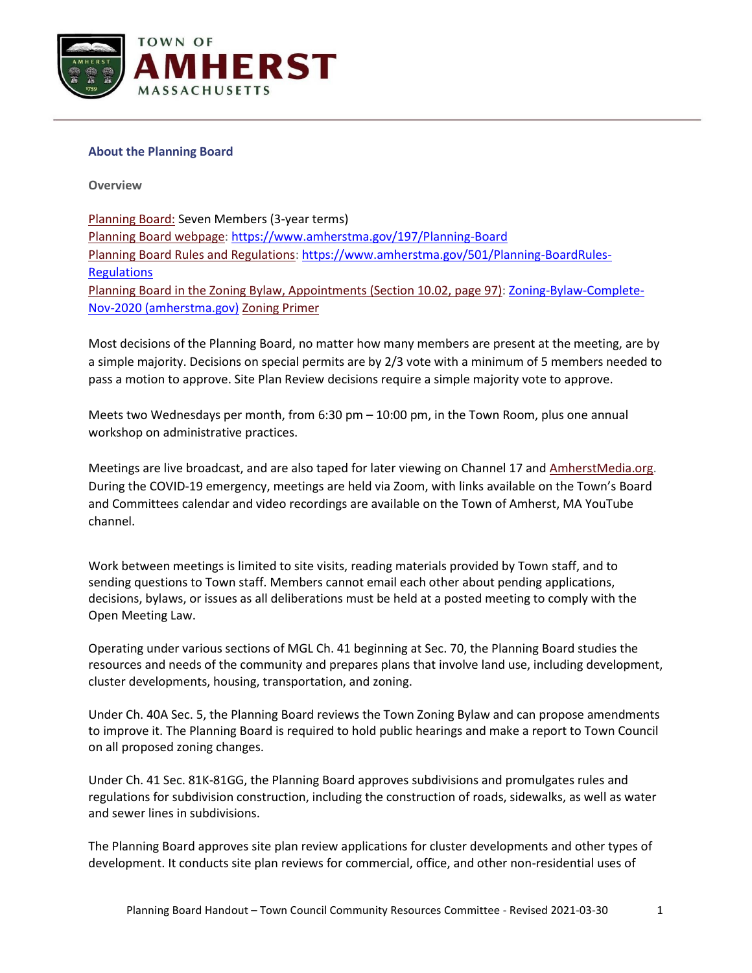

## **About the Planning Board**

**Overview**

Planning Board: Seven Members (3-year terms) [Planning Board webpage:](https://www.amherstma.gov/197) <https://www.amherstma.gov/197/Planning-Board> [Planning Board Rules and Regulations:](https://www.amherstma.gov/501) [https://www.amherstma.gov/501/Planning-BoardRules-](https://www.amherstma.gov/501/Planning-BoardRules-%20Regulations)**[Regulations](https://www.amherstma.gov/501/Planning-BoardRules-%20Regulations)** Planning Board in the Zoning Bylaw, Appointments (Section 10.02, page 97): [Zoning-Bylaw-Complete-](https://www.amherstma.gov/DocumentCenter/View/54392/Zoning-Bylaw-Complete-Nov-2020)[Nov-2020 \(amherstma.gov\)](https://www.amherstma.gov/DocumentCenter/View/54392/Zoning-Bylaw-Complete-Nov-2020) Zoning Primer

Most decisions of the Planning Board, no matter how many members are present at the meeting, are by a simple majority. Decisions on special permits are by 2/3 vote with a minimum of 5 members needed to pass a motion to approve. Site Plan Review decisions require a simple majority vote to approve.

Meets two Wednesdays per month, from 6:30 pm – 10:00 pm, in the Town Room, plus one annual workshop on administrative practices.

Meetings are live broadcast, and are also taped for later viewing on Channel 17 and [AmherstMedia.org.](https://www.amherstma.gov/200/www.amherstmedia.org) During the COVID-19 emergency, meetings are held via Zoom, with links available on the Town's Board and Committees calendar and video recordings are available on the Town of Amherst, MA YouTube channel.

Work between meetings is limited to site visits, reading materials provided by Town staff, and to sending questions to Town staff. Members cannot email each other about pending applications, decisions, bylaws, or issues as all deliberations must be held at a posted meeting to comply with the Open Meeting Law.

Operating under various sections of MGL Ch. 41 beginning at Sec. 70, the Planning Board studies the resources and needs of the community and prepares plans that involve land use, including development, cluster developments, housing, transportation, and zoning.

Under Ch. 40A Sec. 5, the Planning Board reviews the Town Zoning Bylaw and can propose amendments to improve it. The Planning Board is required to hold public hearings and make a report to Town Council on all proposed zoning changes.

Under Ch. 41 Sec. 81K-81GG, the Planning Board approves subdivisions and promulgates rules and regulations for subdivision construction, including the construction of roads, sidewalks, as well as water and sewer lines in subdivisions.

The Planning Board approves site plan review applications for cluster developments and other types of development. It conducts site plan reviews for commercial, office, and other non-residential uses of